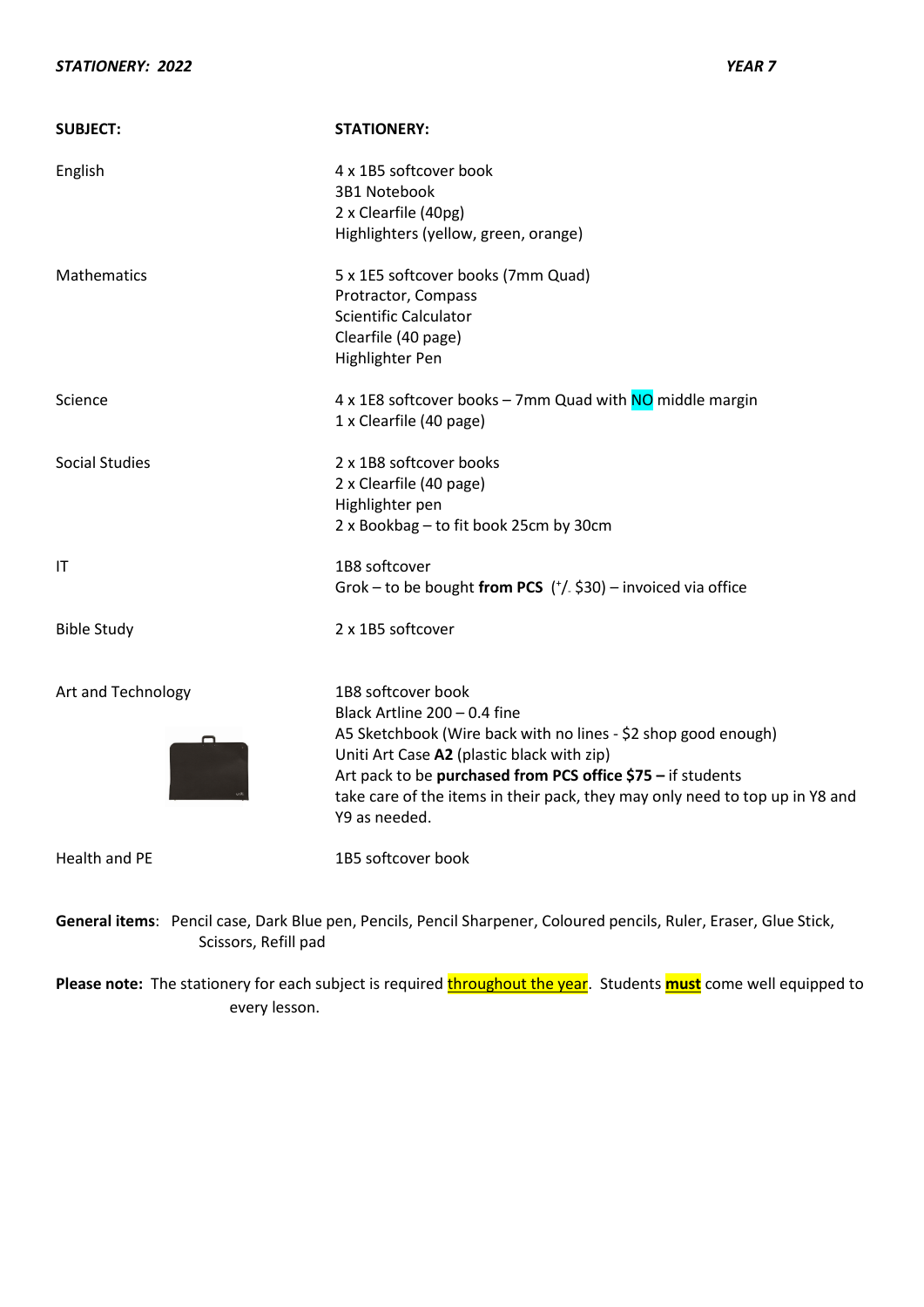| <b>SUBJECT:</b>       | <b>STATIONERY:</b>                                                                                                                                                                                                                                                                                                                 |
|-----------------------|------------------------------------------------------------------------------------------------------------------------------------------------------------------------------------------------------------------------------------------------------------------------------------------------------------------------------------|
| English               | 4 x 1B5 softcover book<br>3B1 Notebook<br>2 x Clearfile (40pg)<br>Highlighters (yellow, green, orange)                                                                                                                                                                                                                             |
| Mathematics           | 5 x 1E5 softcover books (7mm Quad)<br>Protractor, Compass<br><b>Scientific Calculator</b><br>Clearfile (40 page)<br>Highlighter Pen                                                                                                                                                                                                |
| Science               | 4 x 1E8 softcover books - 7mm Quad with NO middle margin<br>1 x Clearfile (40 page)                                                                                                                                                                                                                                                |
| <b>Social Studies</b> | 2 x 1B8 softcover books<br>2 x Clearfile (40 page)<br>Highlighter pen<br>2 x Bookbag - to fit book 25cm by 30cm                                                                                                                                                                                                                    |
| IT                    | 1B8 softcover<br>Grok - to be bought from PCS $('/- $30)$ - invoiced via office                                                                                                                                                                                                                                                    |
| <b>Bible Study</b>    | 2 x 1B5 softcover                                                                                                                                                                                                                                                                                                                  |
| Art and Technology    | 1B8 softcover book<br>Black Artline 200 - 0.4 fine<br>A5 Sketchbook (Wire back with no lines - \$2 shop good enough)<br>Uniti Art Case A2 (plastic black with zip)<br>Art pack to be purchased from PCS office \$75 - if students<br>take care of the items in their pack, they may only need to top up in Y8 and<br>Y9 as needed. |
| <b>Health and PE</b>  | 1B5 softcover book                                                                                                                                                                                                                                                                                                                 |
|                       | General items: Pencil case, Dark Blue pen, Pencils, Pencil Sharpener, Coloured pencils, Ruler, Eraser, Glue Stick,                                                                                                                                                                                                                 |

Please note: The stationery for each subject is required **throughout the year**. Students **must** come well equipped to every lesson.

Scissors, Refill pad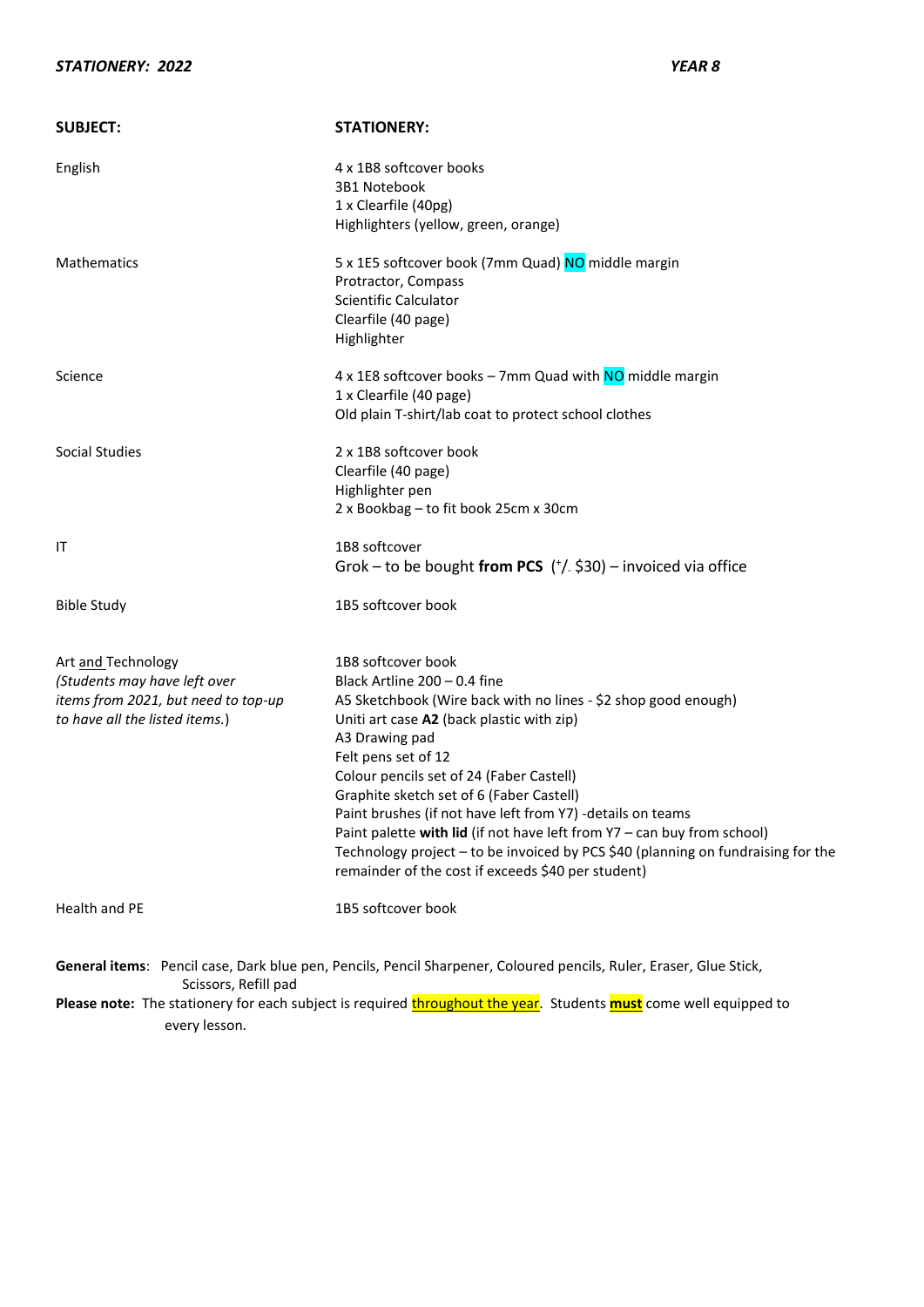| <b>SUBJECT:</b>                                                                                                             | <b>STATIONERY:</b>                                                                                                                                                                                                                                                                                                                                                                                                                                                                                                                                                                    |
|-----------------------------------------------------------------------------------------------------------------------------|---------------------------------------------------------------------------------------------------------------------------------------------------------------------------------------------------------------------------------------------------------------------------------------------------------------------------------------------------------------------------------------------------------------------------------------------------------------------------------------------------------------------------------------------------------------------------------------|
| English                                                                                                                     | 4 x 1B8 softcover books<br>3B1 Notebook<br>1 x Clearfile (40pg)<br>Highlighters (yellow, green, orange)                                                                                                                                                                                                                                                                                                                                                                                                                                                                               |
| <b>Mathematics</b>                                                                                                          | 5 x 1E5 softcover book (7mm Quad) NO middle margin<br>Protractor, Compass<br><b>Scientific Calculator</b><br>Clearfile (40 page)<br>Highlighter                                                                                                                                                                                                                                                                                                                                                                                                                                       |
| Science                                                                                                                     | 4 x 1E8 softcover books - 7mm Quad with NO middle margin<br>1 x Clearfile (40 page)<br>Old plain T-shirt/lab coat to protect school clothes                                                                                                                                                                                                                                                                                                                                                                                                                                           |
| Social Studies                                                                                                              | 2 x 1B8 softcover book<br>Clearfile (40 page)<br>Highlighter pen<br>2 x Bookbag - to fit book 25cm x 30cm                                                                                                                                                                                                                                                                                                                                                                                                                                                                             |
| ΙT                                                                                                                          | 1B8 softcover<br>Grok – to be bought from PCS $('/- $30)$ – invoiced via office                                                                                                                                                                                                                                                                                                                                                                                                                                                                                                       |
| <b>Bible Study</b>                                                                                                          | 1B5 softcover book                                                                                                                                                                                                                                                                                                                                                                                                                                                                                                                                                                    |
| Art and Technology<br>(Students may have left over<br>items from 2021, but need to top-up<br>to have all the listed items.) | 1B8 softcover book<br>Black Artline 200 - 0.4 fine<br>A5 Sketchbook (Wire back with no lines - \$2 shop good enough)<br>Uniti art case A2 (back plastic with zip)<br>A3 Drawing pad<br>Felt pens set of 12<br>Colour pencils set of 24 (Faber Castell)<br>Graphite sketch set of 6 (Faber Castell)<br>Paint brushes (if not have left from Y7) -details on teams<br>Paint palette with lid (if not have left from Y7 - can buy from school)<br>Technology project - to be invoiced by PCS \$40 (planning on fundraising for the<br>remainder of the cost if exceeds \$40 per student) |
| Health and PE                                                                                                               | 1B5 softcover book                                                                                                                                                                                                                                                                                                                                                                                                                                                                                                                                                                    |
| Scissors, Refill pad                                                                                                        | General items: Pencil case, Dark blue pen, Pencils, Pencil Sharpener, Coloured pencils, Ruler, Eraser, Glue Stick,                                                                                                                                                                                                                                                                                                                                                                                                                                                                    |
|                                                                                                                             | The stationary for each subject is required throughout the year. Students were come well oquinned to                                                                                                                                                                                                                                                                                                                                                                                                                                                                                  |

**Please note:** The stationery for each subject is required **throughout the year**. Students **must** come well equipped to every lesson.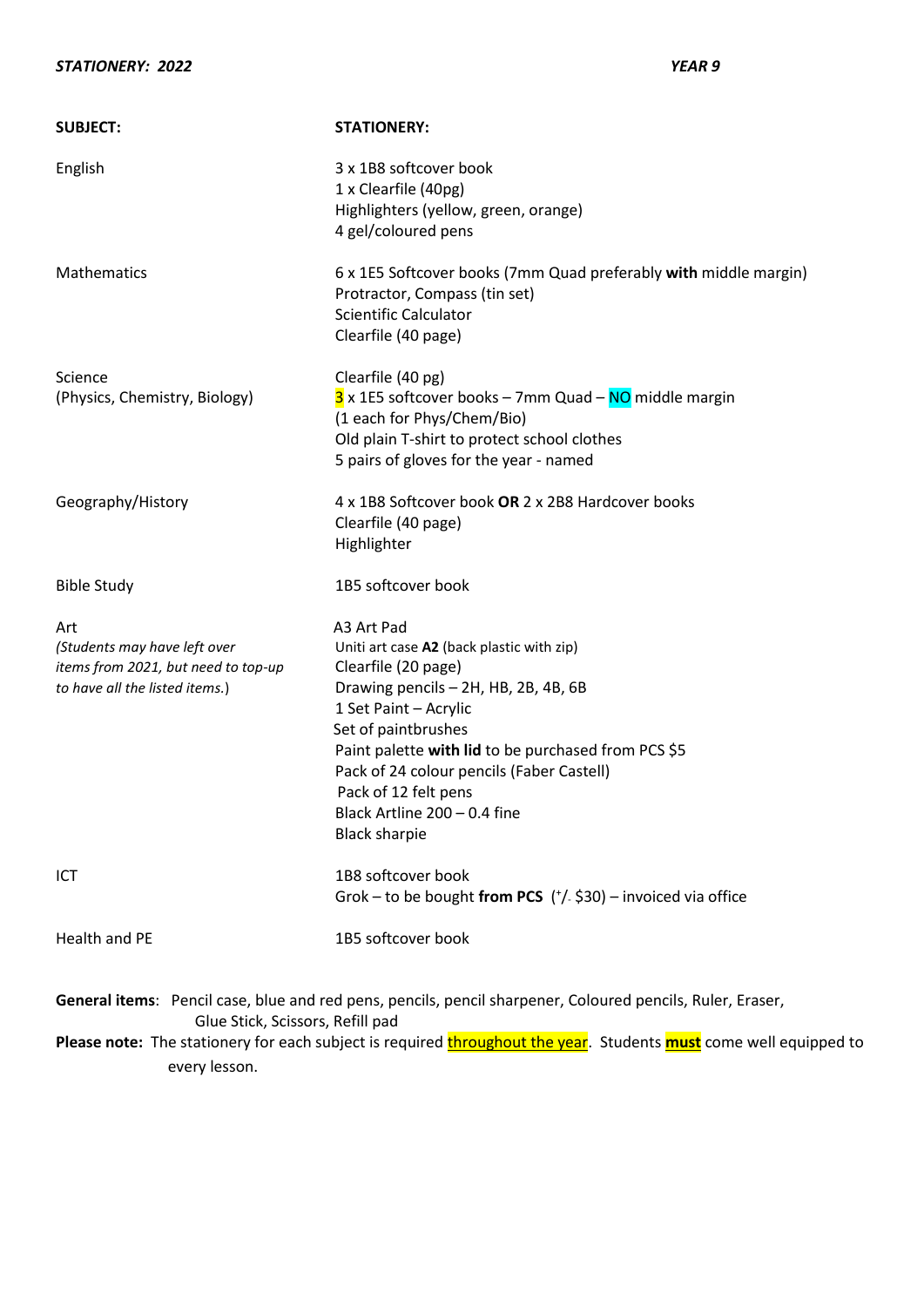### *STATIONERY: 2022 YEAR 9*

| <b>SUBJECT:</b>                                                                                              | <b>STATIONERY:</b>                                                                                                                                                                                                                                                                                                                                         |
|--------------------------------------------------------------------------------------------------------------|------------------------------------------------------------------------------------------------------------------------------------------------------------------------------------------------------------------------------------------------------------------------------------------------------------------------------------------------------------|
| English                                                                                                      | 3 x 1B8 softcover book<br>1 x Clearfile (40pg)<br>Highlighters (yellow, green, orange)<br>4 gel/coloured pens                                                                                                                                                                                                                                              |
| Mathematics                                                                                                  | 6 x 1E5 Softcover books (7mm Quad preferably with middle margin)<br>Protractor, Compass (tin set)<br><b>Scientific Calculator</b><br>Clearfile (40 page)                                                                                                                                                                                                   |
| Science<br>(Physics, Chemistry, Biology)                                                                     | Clearfile (40 pg)<br>3 x 1E5 softcover books - 7mm Quad - NO middle margin<br>(1 each for Phys/Chem/Bio)<br>Old plain T-shirt to protect school clothes<br>5 pairs of gloves for the year - named                                                                                                                                                          |
| Geography/History                                                                                            | 4 x 1B8 Softcover book OR 2 x 2B8 Hardcover books<br>Clearfile (40 page)<br>Highlighter                                                                                                                                                                                                                                                                    |
| <b>Bible Study</b>                                                                                           | 1B5 softcover book                                                                                                                                                                                                                                                                                                                                         |
| Art<br>(Students may have left over<br>items from 2021, but need to top-up<br>to have all the listed items.) | A3 Art Pad<br>Uniti art case A2 (back plastic with zip)<br>Clearfile (20 page)<br>Drawing pencils - 2H, HB, 2B, 4B, 6B<br>1 Set Paint - Acrylic<br>Set of paintbrushes<br>Paint palette with lid to be purchased from PCS \$5<br>Pack of 24 colour pencils (Faber Castell)<br>Pack of 12 felt pens<br>Black Artline 200 - 0.4 fine<br><b>Black sharpie</b> |
| ICT                                                                                                          | 1B8 softcover book<br>Grok – to be bought from PCS $('/- $30)$ – invoiced via office                                                                                                                                                                                                                                                                       |
| Health and PE                                                                                                | 1B5 softcover book                                                                                                                                                                                                                                                                                                                                         |
| Glue Stick, Scissors, Refill pad<br>every lesson.                                                            | General items: Pencil case, blue and red pens, pencils, pencil sharpener, Coloured pencils, Ruler, Eraser,<br>Please note: The stationery for each subject is required throughout the year. Students must come well equipped to                                                                                                                            |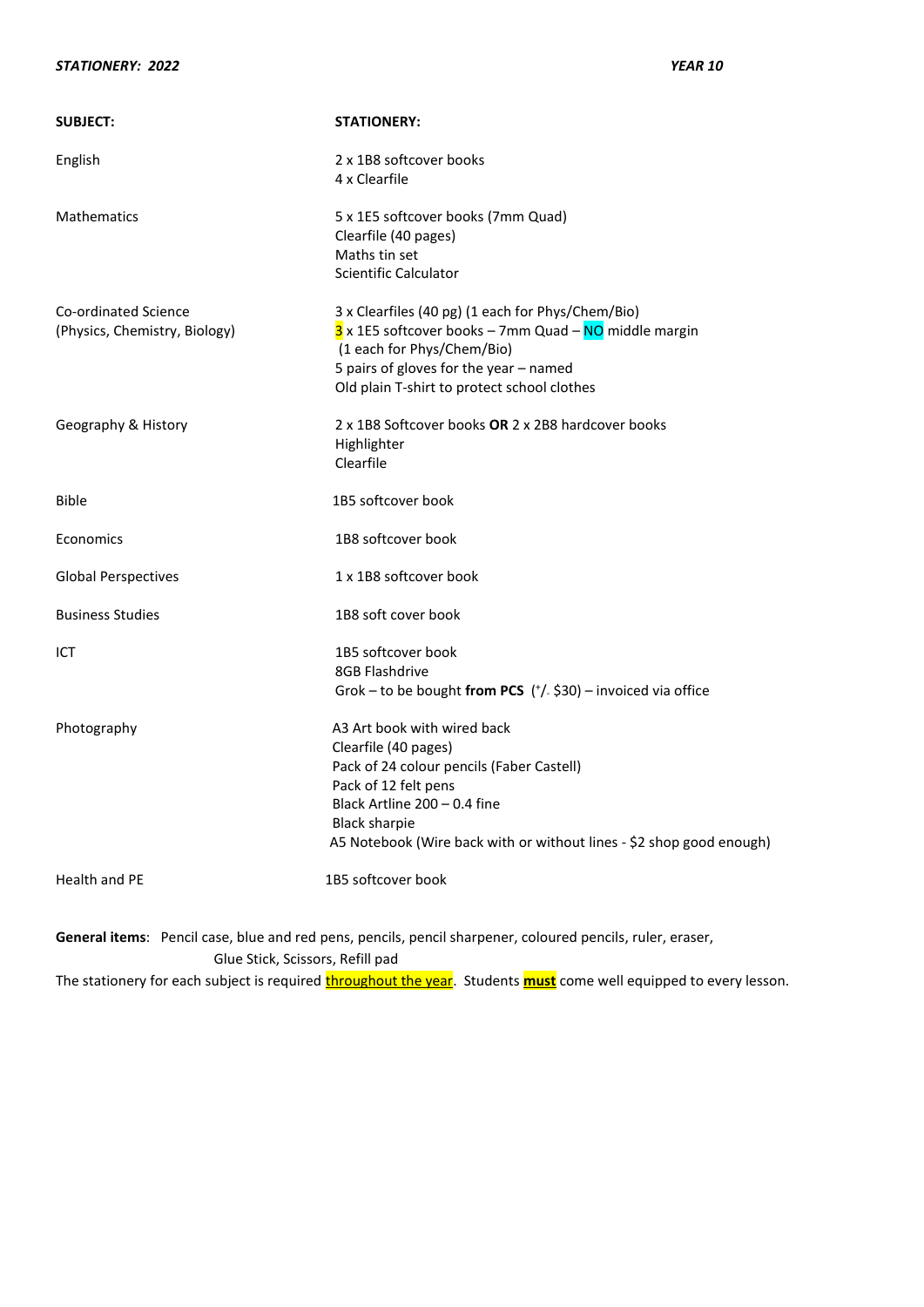#### *STATIONERY: 2022 YEAR 10*

| <b>SUBJECT:</b>                                       | <b>STATIONERY:</b>                                                                                                                                                                                                                                       |
|-------------------------------------------------------|----------------------------------------------------------------------------------------------------------------------------------------------------------------------------------------------------------------------------------------------------------|
| English                                               | 2 x 1B8 softcover books<br>4 x Clearfile                                                                                                                                                                                                                 |
| <b>Mathematics</b>                                    | 5 x 1E5 softcover books (7mm Quad)<br>Clearfile (40 pages)<br>Maths tin set<br><b>Scientific Calculator</b>                                                                                                                                              |
| Co-ordinated Science<br>(Physics, Chemistry, Biology) | 3 x Clearfiles (40 pg) (1 each for Phys/Chem/Bio)<br>3 x 1E5 softcover books - 7mm Quad - NO middle margin<br>(1 each for Phys/Chem/Bio)<br>5 pairs of gloves for the year - named<br>Old plain T-shirt to protect school clothes                        |
| Geography & History                                   | 2 x 1B8 Softcover books OR 2 x 2B8 hardcover books<br>Highlighter<br>Clearfile                                                                                                                                                                           |
| <b>Bible</b>                                          | 1B5 softcover book                                                                                                                                                                                                                                       |
| Economics                                             | 1B8 softcover book                                                                                                                                                                                                                                       |
| <b>Global Perspectives</b>                            | 1 x 1B8 softcover book                                                                                                                                                                                                                                   |
| <b>Business Studies</b>                               | 1B8 soft cover book                                                                                                                                                                                                                                      |
| ICT                                                   | 1B5 softcover book<br>8GB Flashdrive<br>Grok - to be bought from PCS $('/- $30)$ - invoiced via office                                                                                                                                                   |
| Photography                                           | A3 Art book with wired back<br>Clearfile (40 pages)<br>Pack of 24 colour pencils (Faber Castell)<br>Pack of 12 felt pens<br>Black Artline 200 - 0.4 fine<br><b>Black sharpie</b><br>A5 Notebook (Wire back with or without lines - \$2 shop good enough) |
| <b>Health and PE</b>                                  | 1B5 softcover book                                                                                                                                                                                                                                       |

**General items**: Pencil case, blue and red pens, pencils, pencil sharpener, coloured pencils, ruler, eraser, Glue Stick, Scissors, Refill pad The stationery for each subject is required **throughout the year**. Students **must** come well equipped to every lesson.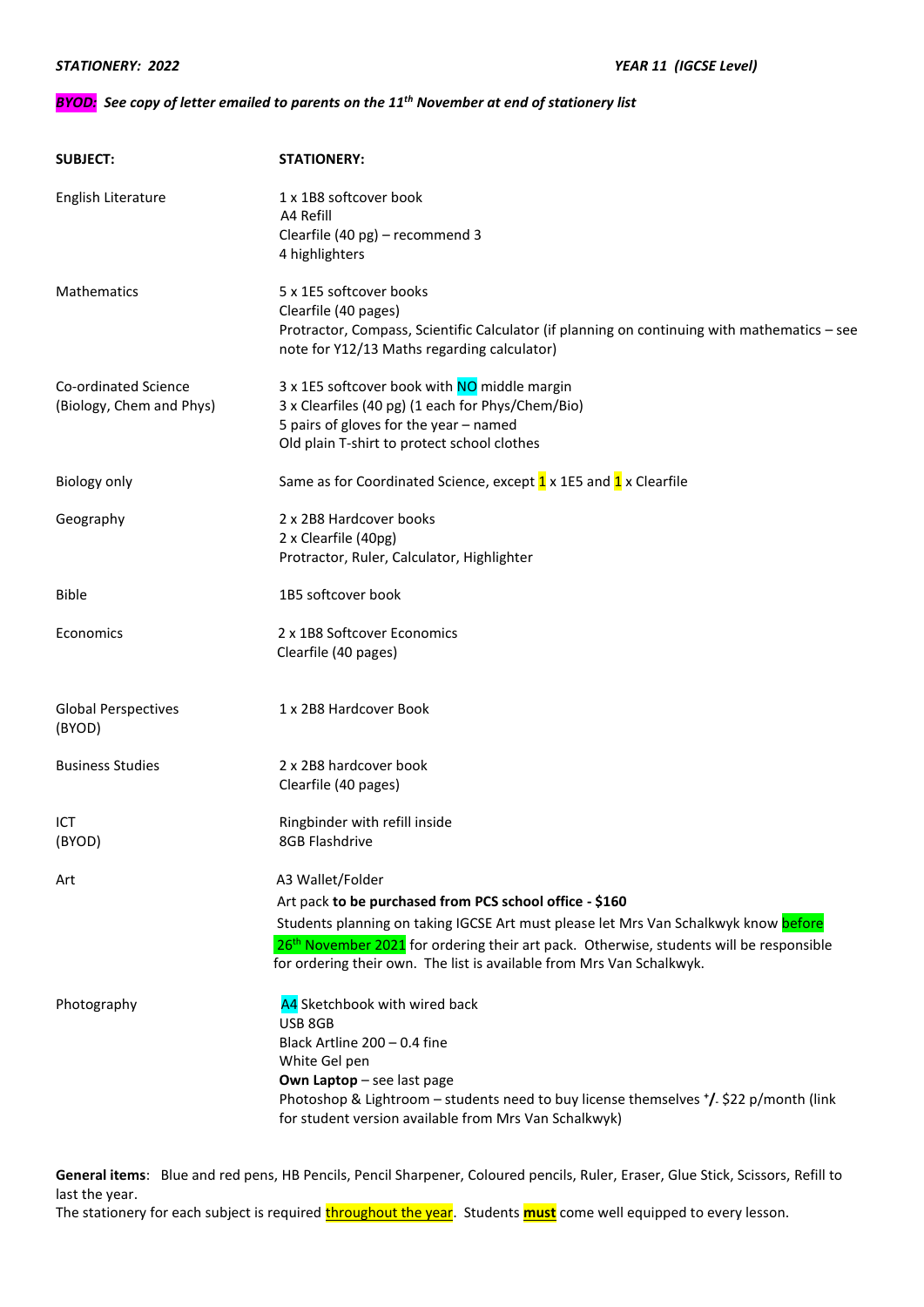#### *BYOD: See copy of letter emailed to parents on the 11th November at end of stationery list*

| <b>SUBJECT:</b>                                  | <b>STATIONERY:</b>                                                                                                                                                                                                                                                                                                                                 |
|--------------------------------------------------|----------------------------------------------------------------------------------------------------------------------------------------------------------------------------------------------------------------------------------------------------------------------------------------------------------------------------------------------------|
| English Literature                               | 1 x 1B8 softcover book<br>A4 Refill<br>Clearfile (40 pg) - recommend 3<br>4 highlighters                                                                                                                                                                                                                                                           |
| Mathematics                                      | 5 x 1E5 softcover books<br>Clearfile (40 pages)<br>Protractor, Compass, Scientific Calculator (if planning on continuing with mathematics - see<br>note for Y12/13 Maths regarding calculator)                                                                                                                                                     |
| Co-ordinated Science<br>(Biology, Chem and Phys) | 3 x 1E5 softcover book with NO middle margin<br>3 x Clearfiles (40 pg) (1 each for Phys/Chem/Bio)<br>5 pairs of gloves for the year - named<br>Old plain T-shirt to protect school clothes                                                                                                                                                         |
| <b>Biology only</b>                              | Same as for Coordinated Science, except 1 x 1E5 and 1 x Clearfile                                                                                                                                                                                                                                                                                  |
| Geography                                        | 2 x 2B8 Hardcover books<br>2 x Clearfile (40pg)<br>Protractor, Ruler, Calculator, Highlighter                                                                                                                                                                                                                                                      |
| <b>Bible</b>                                     | 1B5 softcover book                                                                                                                                                                                                                                                                                                                                 |
| Economics                                        | 2 x 1B8 Softcover Economics<br>Clearfile (40 pages)                                                                                                                                                                                                                                                                                                |
| <b>Global Perspectives</b><br>(BYOD)             | 1 x 2B8 Hardcover Book                                                                                                                                                                                                                                                                                                                             |
| <b>Business Studies</b>                          | 2 x 2B8 hardcover book<br>Clearfile (40 pages)                                                                                                                                                                                                                                                                                                     |
| ICT<br>(BYOD)                                    | Ringbinder with refill inside<br>8GB Flashdrive                                                                                                                                                                                                                                                                                                    |
| Art                                              | A3 Wallet/Folder<br>Art pack to be purchased from PCS school office - \$160<br>Students planning on taking IGCSE Art must please let Mrs Van Schalkwyk know before<br>26 <sup>th</sup> November 2021 for ordering their art pack. Otherwise, students will be responsible<br>for ordering their own. The list is available from Mrs Van Schalkwyk. |
| Photography                                      | A4 Sketchbook with wired back<br>USB 8GB<br>Black Artline 200 - 0.4 fine<br>White Gel pen<br>Own Laptop - see last page<br>Photoshop & Lightroom – students need to buy license themselves $^*/$ \$22 p/month (link<br>for student version available from Mrs Van Schalkwyk)                                                                       |

**General items**: Blue and red pens, HB Pencils, Pencil Sharpener, Coloured pencils, Ruler, Eraser, Glue Stick, Scissors, Refill to last the year.

The stationery for each subject is required *throughout the year*. Students *must* come well equipped to every lesson.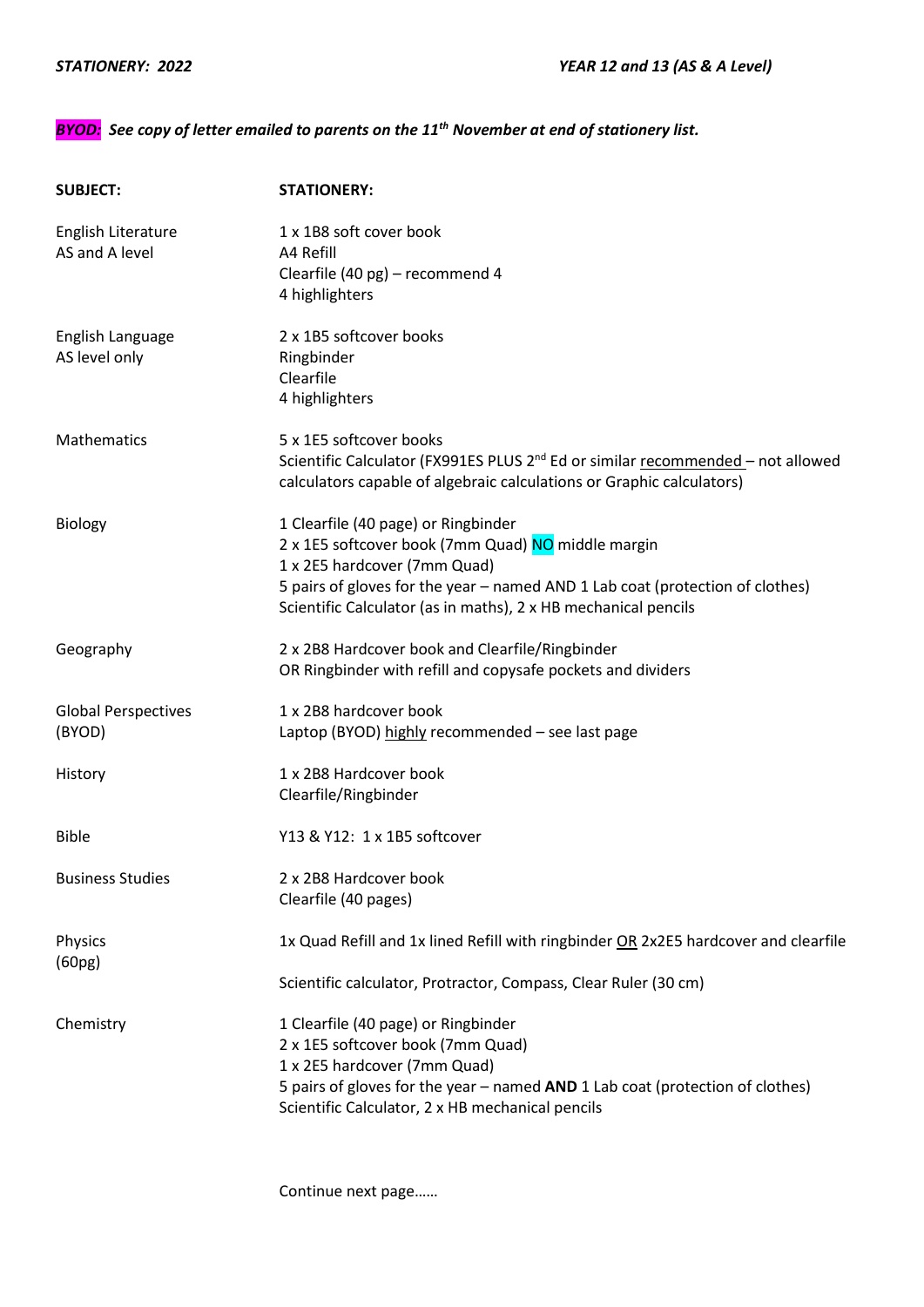## *BYOD: See copy of letter emailed to parents on the 11th November at end of stationery list.*

| <b>SUBJECT:</b>                      | <b>STATIONERY:</b>                                                                                                                                                   |
|--------------------------------------|----------------------------------------------------------------------------------------------------------------------------------------------------------------------|
| English Literature<br>AS and A level | 1 x 1B8 soft cover book<br>A4 Refill<br>Clearfile (40 pg) - recommend 4                                                                                              |
|                                      | 4 highlighters                                                                                                                                                       |
| English Language                     | 2 x 1B5 softcover books                                                                                                                                              |
| AS level only                        | Ringbinder<br>Clearfile                                                                                                                                              |
|                                      | 4 highlighters                                                                                                                                                       |
| Mathematics                          | 5 x 1E5 softcover books                                                                                                                                              |
|                                      | Scientific Calculator (FX991ES PLUS 2 <sup>nd</sup> Ed or similar recommended - not allowed<br>calculators capable of algebraic calculations or Graphic calculators) |
| <b>Biology</b>                       | 1 Clearfile (40 page) or Ringbinder                                                                                                                                  |
|                                      | 2 x 1E5 softcover book (7mm Quad) NO middle margin<br>1 x 2E5 hardcover (7mm Quad)                                                                                   |
|                                      | 5 pairs of gloves for the year - named AND 1 Lab coat (protection of clothes)                                                                                        |
|                                      | Scientific Calculator (as in maths), 2 x HB mechanical pencils                                                                                                       |
| Geography                            | 2 x 2B8 Hardcover book and Clearfile/Ringbinder                                                                                                                      |
|                                      | OR Ringbinder with refill and copysafe pockets and dividers                                                                                                          |
| <b>Global Perspectives</b>           | 1 x 2B8 hardcover book                                                                                                                                               |
| (BYOD)                               | Laptop (BYOD) highly recommended - see last page                                                                                                                     |
| History                              | 1 x 2B8 Hardcover book                                                                                                                                               |
|                                      | Clearfile/Ringbinder                                                                                                                                                 |
| <b>Bible</b>                         | Y13 & Y12: 1 x 1B5 softcover                                                                                                                                         |
| <b>Business Studies</b>              | 2 x 2B8 Hardcover book                                                                                                                                               |
|                                      | Clearfile (40 pages)                                                                                                                                                 |
| Physics<br>(60pg)                    | 1x Quad Refill and 1x lined Refill with ringbinder OR 2x2E5 hardcover and clearfile                                                                                  |
|                                      | Scientific calculator, Protractor, Compass, Clear Ruler (30 cm)                                                                                                      |
| Chemistry                            | 1 Clearfile (40 page) or Ringbinder                                                                                                                                  |
|                                      | 2 x 1E5 softcover book (7mm Quad)                                                                                                                                    |
|                                      | 1 x 2E5 hardcover (7mm Quad)                                                                                                                                         |
|                                      | 5 pairs of gloves for the year - named AND 1 Lab coat (protection of clothes)<br>Scientific Calculator, 2 x HB mechanical pencils                                    |
|                                      |                                                                                                                                                                      |

Continue next page……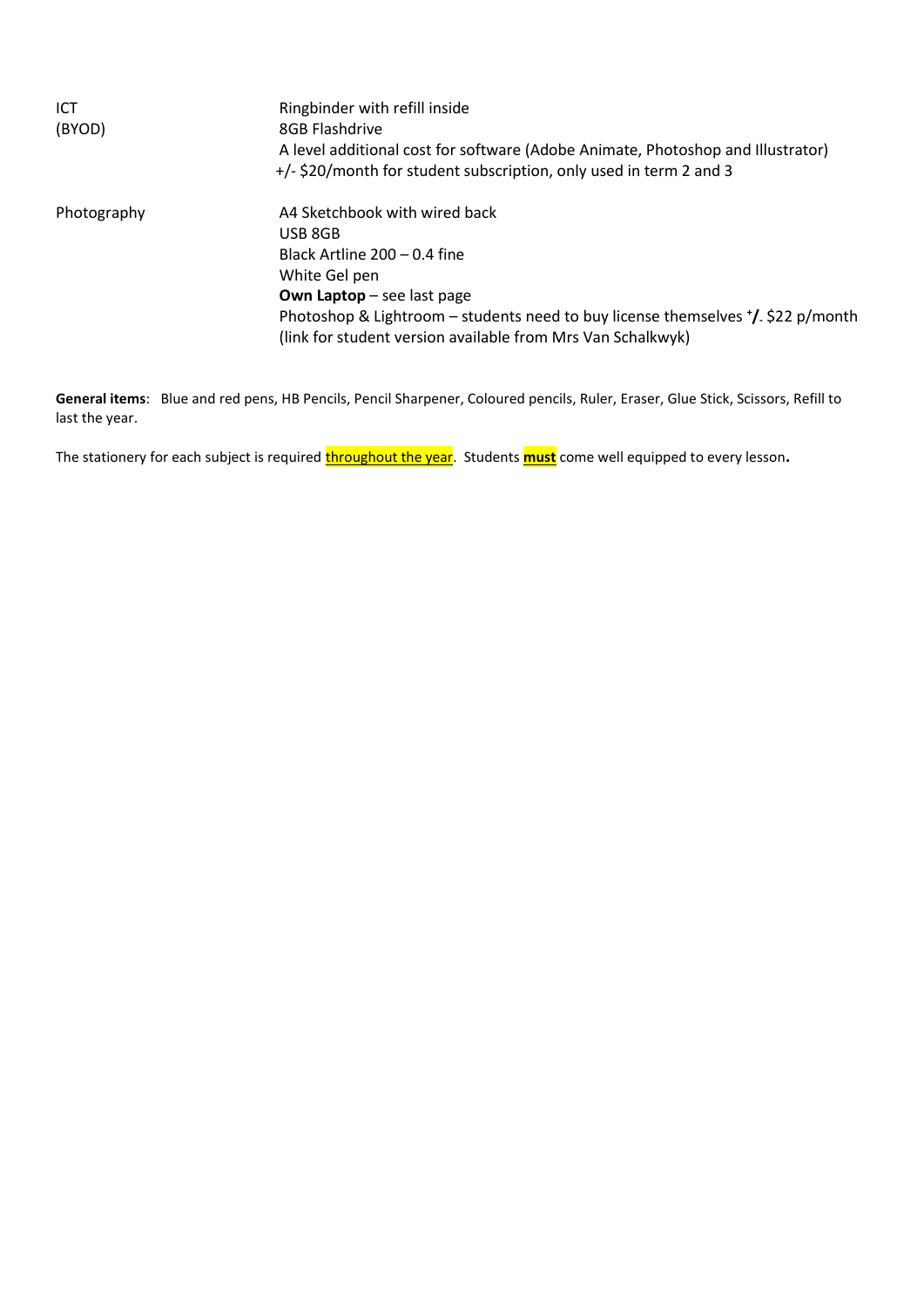| ICT<br>(BYOD) | Ringbinder with refill inside<br>8GB Flashdrive<br>A level additional cost for software (Adobe Animate, Photoshop and Illustrator)<br>+/- \$20/month for student subscription, only used in term 2 and 3                                                                                      |
|---------------|-----------------------------------------------------------------------------------------------------------------------------------------------------------------------------------------------------------------------------------------------------------------------------------------------|
| Photography   | A4 Sketchbook with wired back<br>USB 8GB<br>Black Artline $200 - 0.4$ fine<br>White Gel pen<br><b>Own Laptop</b> – see last page<br>Photoshop & Lightroom – students need to buy license themselves $\frac{1}{2}$ \$22 p/month<br>(link for student version available from Mrs Van Schalkwyk) |

**General items**: Blue and red pens, HB Pencils, Pencil Sharpener, Coloured pencils, Ruler, Eraser, Glue Stick, Scissors, Refill to last the year.

The stationery for each subject is required **throughout the year**. Students **must** come well equipped to every lesson.